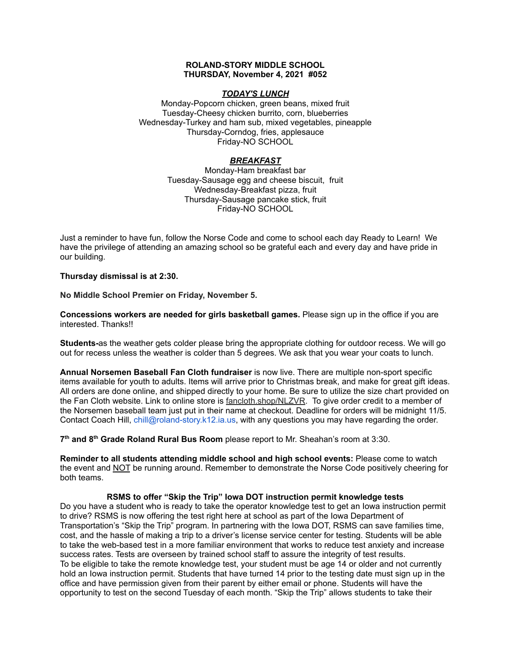## **ROLAND-STORY MIDDLE SCHOOL THURSDAY, November 4, 2021 #052**

## *TODAY'S LUNCH*

Monday-Popcorn chicken, green beans, mixed fruit Tuesday-Cheesy chicken burrito, corn, blueberries Wednesday-Turkey and ham sub, mixed vegetables, pineapple Thursday-Corndog, fries, applesauce Friday-NO SCHOOL

## *BREAKFAST*

Monday-Ham breakfast bar Tuesday-Sausage egg and cheese biscuit, fruit Wednesday-Breakfast pizza, fruit Thursday-Sausage pancake stick, fruit Friday-NO SCHOOL

Just a reminder to have fun, follow the Norse Code and come to school each day Ready to Learn! We have the privilege of attending an amazing school so be grateful each and every day and have pride in our building.

**Thursday dismissal is at 2:30.**

**No Middle School Premier on Friday, November 5.**

**Concessions workers are needed for girls basketball games.** Please sign up in the office if you are interested. Thanks!!

**Students-**as the weather gets colder please bring the appropriate clothing for outdoor recess. We will go out for recess unless the weather is colder than 5 degrees. We ask that you wear your coats to lunch.

**Annual Norsemen Baseball Fan Cloth fundraiser** is now live. There are multiple non-sport specific items available for youth to adults. Items will arrive prior to Christmas break, and make for great gift ideas. All orders are done online, and shipped directly to your home. Be sure to utilize the size chart provided on the Fan Cloth website. Link to online store is [fancloth.shop/NLZVR.](http://fancloth.shop/NLZVR) To give order credit to a member of the Norsemen baseball team just put in their name at checkout. Deadline for orders will be midnight 11/5. Contact Coach Hill, chill@roland-story.k12.ia.us, with any questions you may have regarding the order.

**7 th and 8 th Grade Roland Rural Bus Room** please report to Mr. Sheahan's room at 3:30.

**Reminder to all students attending middle school and high school events:** Please come to watch the event and NOT be running around. Remember to demonstrate the Norse Code positively cheering for both teams.

#### **RSMS to offer "Skip the Trip" Iowa DOT instruction permit knowledge tests**

Do you have a student who is ready to take the operator knowledge test to get an Iowa instruction permit to drive? RSMS is now offering the test right here at school as part of the Iowa Department of Transportation's "Skip the Trip" program. In partnering with the Iowa DOT, RSMS can save families time, cost, and the hassle of making a trip to a driver's license service center for testing. Students will be able to take the web-based test in a more familiar environment that works to reduce test anxiety and increase success rates. Tests are overseen by trained school staff to assure the integrity of test results. To be eligible to take the remote knowledge test, your student must be age 14 or older and not currently hold an Iowa instruction permit. Students that have turned 14 prior to the testing date must sign up in the office and have permission given from their parent by either email or phone. Students will have the opportunity to test on the second Tuesday of each month. "Skip the Trip" allows students to take their